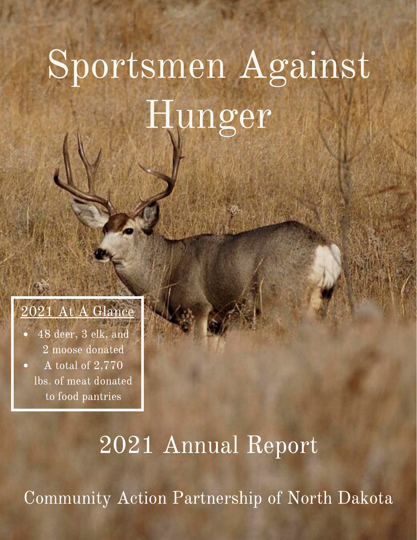## Sportsmen Against Hunger



48 deer, 3 elk, and 2 moose donated A total of 2,770 lbs. of meat donated to food pantries

## 2021 Annual Report

Community Action Partnership of North Dakota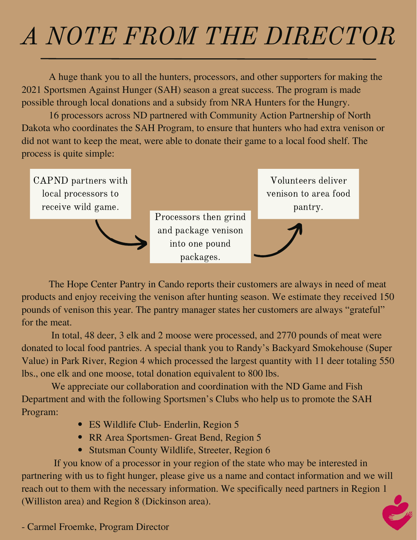## A NOTE FROM THE DIRECTOR

A huge thank you to all the hunters, processors, and other supporters for making the 2021 Sportsmen Against Hunger (SAH) season a great success. The program is made possible through local donations and a subsidy from NRA Hunters for the Hungry.

16 processors across ND partnered with Community Action Partnership of North Dakota who coordinates the SAH Program, to ensure that hunters who had extra venison or did not want to keep the meat, were able to donate their game to a local food shelf. The process is quite simple:

CAPND partners with local processors to receive wild game.



Processors then grind and package venison into one pound packages.

Volunteers deliver venison to area food pantry.



The Hope Center Pantry in Cando reports their customers are always in need of meat products and enjoy receiving the venison after hunting season. We estimate they received 150 pounds of venison this year. The pantry manager states her customers are always "grateful" for the meat.

In total, 48 deer, 3 elk and 2 moose were processed, and 2770 pounds of meat were donated to local food pantries. A special thank you to Randy's Backyard Smokehouse (Super Value) in Park River, Region 4 which processed the largest quantity with 11 deer totaling 550 lbs., one elk and one moose, total donation equivalent to 800 lbs.

We appreciate our collaboration and coordination with the ND Game and Fish Department and with the following Sportsmen's Clubs who help us to promote the SAH Program:

- ES Wildlife Club- Enderlin, Region 5
- RR Area Sportsmen- Great Bend, Region 5
- Stutsman County Wildlife, Streeter, Region 6

If you know of a processor in your region of the state who may be interested in partnering with us to fight hunger, please give us a name and contact information and we will reach out to them with the necessary information. We specifically need partners in Region 1 (Williston area) and Region 8 (Dickinson area).